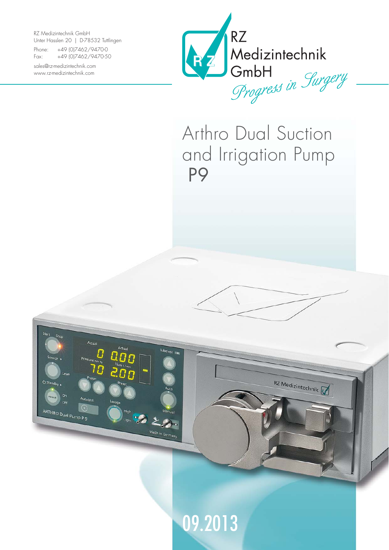RZ Medizintechnik GmbH Unter Hasslen 20 | D-78532 Tuttlingen

Actua

Autotes

 $\alpha$ 

ARTHRO Dual Pump P 9

Actual

Tubeless

High Manual<br>Light Manual

Made in Germany

Phone: +49 (0)7462/9470-0 Fax: +49 (0)7462/9470-50

sales@rz-medizintechnik.com www.rz-medizintechnik.com



## Arthro Dual Suction and Irrigation Pump P9

RZ Medizintechnik

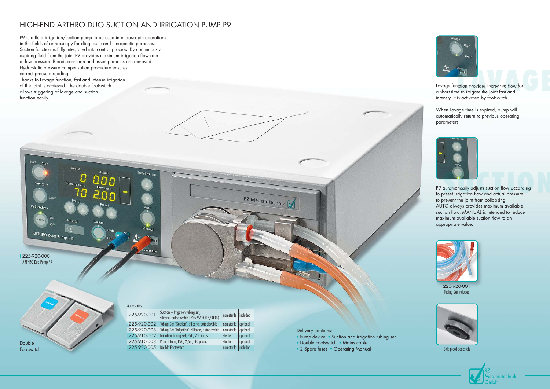## HIGH-END ARTHRO DUO SUCTION AND IRRIGATION PUMP P9

P9 is a fluid irrigation/suction pump to be used in endoscopic operations in the fields of arthroscopy for diagnostic and therapeutic purposes. Suction function is fully integrated into control process. By continuously aspiring fluid from the joint P9 provides maximum irrigation flow rate at low pressure. Blood, secretion and tissue particles are removed. Hydrostatic pressure compensation procedure ensures correct pressure reading. Thanks to Lavage function, fast and intense irrigation of the joint is achieved. The double footswitch

allows triggering of lavage and suction

Actual

Autotect  $\odot$ 

Actual

function easily.



Skid-proof pedestals



Lavage function provides increased flow for a short time to irrigate the joint fast and intensly. It is activated by footswitch.

When Lavage time is expired, pump will automatically return to previous operating parameters.



I 225-920-000 ARTHRO Duo Pump P9

O Standh

ARTHRO Dual Pump P 9

Delivery contains:

RZ Medizintechnik

- Pump device Suction and irrigation tubing set
- Double Footswitch Mains cable
- 2 Spare fuses Operating Manual



P9 automatically adjusts suction flow according to preset irrigation flow and actual pressure to prevent the joint from collapsing. AUTO always provides maximum available suction flow, MANUAL is intended to reduce maximum available suction flow to an appropriate value.

| 225-920-001 | Suction $+$ Irrigation tubing set,<br>silicone, autoclavable (225-920-002/-003) | non-sterile   included |          |
|-------------|---------------------------------------------------------------------------------|------------------------|----------|
| 225-920-002 | Tubing Set "Suction", silicone, autoclavable                                    | non-sterile   optional |          |
| 225-920-003 | Tubing Set "Irrigation", silicone, autoclavable                                 | non-sterile            | optional |
| 225-910-002 | Irrigation tubing set, PVC, 20 pieces                                           | sterile                | optional |
| 225-910-003 | Patient tube, PVC, 2,5m, 40 pieces                                              | sterile                | optional |
| 225-920-005 | Double Footswitch                                                               | non-sterile            | included |

Accessories:

Tubeless

Double Footswitch



225-920-001 Tubing Set included